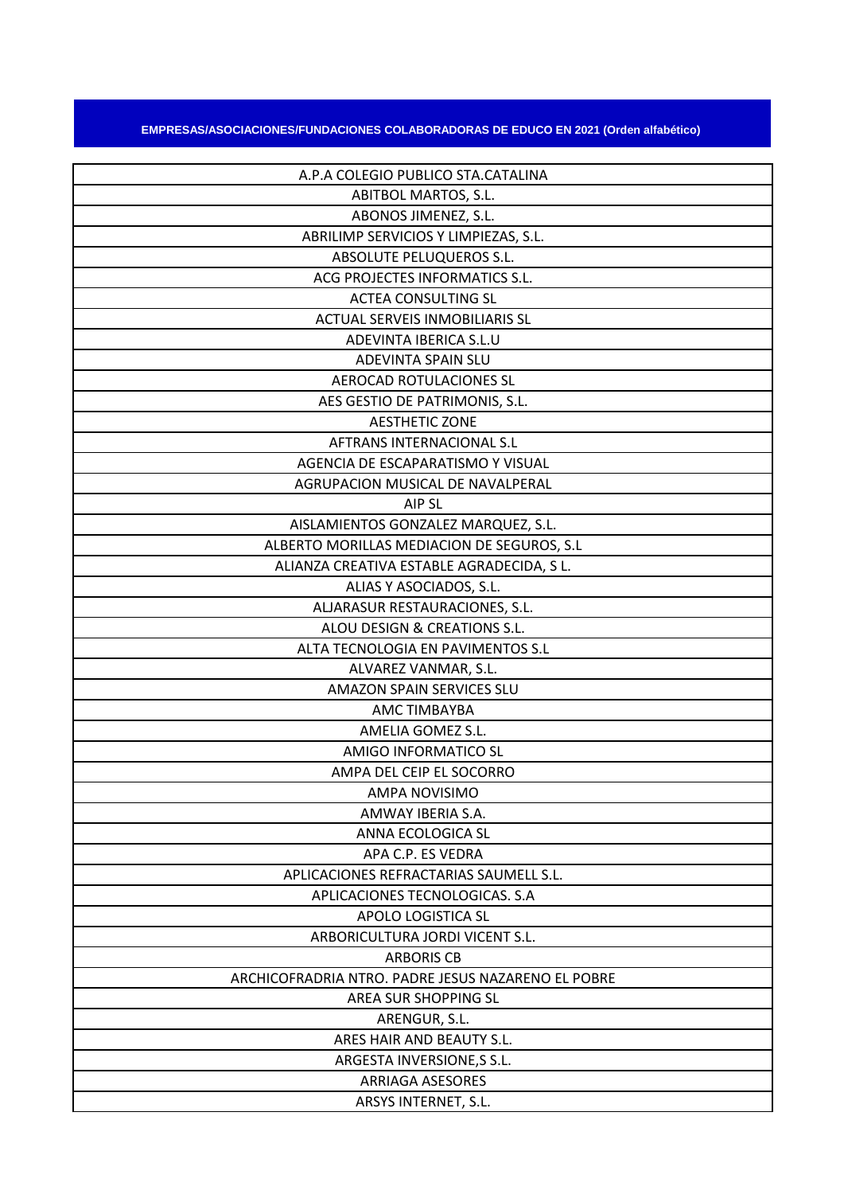## **EMPRESAS/ASOCIACIONES/FUNDACIONES COLABORADORAS DE EDUCO EN 2021 (Orden alfabético)**

| A.P.A COLEGIO PUBLICO STA.CATALINA                 |
|----------------------------------------------------|
| ABITBOL MARTOS, S.L.                               |
| ABONOS JIMENEZ, S.L.                               |
| ABRILIMP SERVICIOS Y LIMPIEZAS, S.L.               |
| ABSOLUTE PELUQUEROS S.L.                           |
| ACG PROJECTES INFORMATICS S.L.                     |
| <b>ACTEA CONSULTING SL</b>                         |
| <b>ACTUAL SERVEIS INMOBILIARIS SL</b>              |
| ADEVINTA IBERICA S.L.U                             |
| ADEVINTA SPAIN SLU                                 |
| AEROCAD ROTULACIONES SL                            |
| AES GESTIO DE PATRIMONIS, S.L.                     |
| <b>AESTHETIC ZONE</b>                              |
| AFTRANS INTERNACIONAL S.L                          |
| AGENCIA DE ESCAPARATISMO Y VISUAL                  |
| AGRUPACION MUSICAL DE NAVALPERAL                   |
| AIP SL                                             |
| AISLAMIENTOS GONZALEZ MARQUEZ, S.L.                |
| ALBERTO MORILLAS MEDIACION DE SEGUROS, S.L.        |
| ALIANZA CREATIVA ESTABLE AGRADECIDA, S L.          |
| ALIAS Y ASOCIADOS, S.L.                            |
| ALJARASUR RESTAURACIONES, S.L.                     |
| ALOU DESIGN & CREATIONS S.L.                       |
| ALTA TECNOLOGIA EN PAVIMENTOS S.L                  |
| ALVAREZ VANMAR, S.L.                               |
| <b>AMAZON SPAIN SERVICES SLU</b>                   |
| <b>AMC TIMBAYBA</b>                                |
| AMELIA GOMEZ S.L.                                  |
| AMIGO INFORMATICO SL                               |
| AMPA DEL CEIP EL SOCORRO                           |
| AMPA NOVISIMO                                      |
| AMWAY IBERIA S.A.                                  |
| ANNA ECOLOGICA SL                                  |
| APA C.P. ES VEDRA                                  |
| APLICACIONES REFRACTARIAS SAUMELL S.L.             |
| APLICACIONES TECNOLOGICAS. S.A                     |
| APOLO LOGISTICA SL                                 |
| ARBORICULTURA JORDI VICENT S.L.                    |
| <b>ARBORIS CB</b>                                  |
| ARCHICOFRADRIA NTRO. PADRE JESUS NAZARENO EL POBRE |
| AREA SUR SHOPPING SL                               |
| ARENGUR, S.L.                                      |
| ARES HAIR AND BEAUTY S.L.                          |
| ARGESTA INVERSIONE, S S.L.                         |
| <b>ARRIAGA ASESORES</b>                            |
| ARSYS INTERNET, S.L.                               |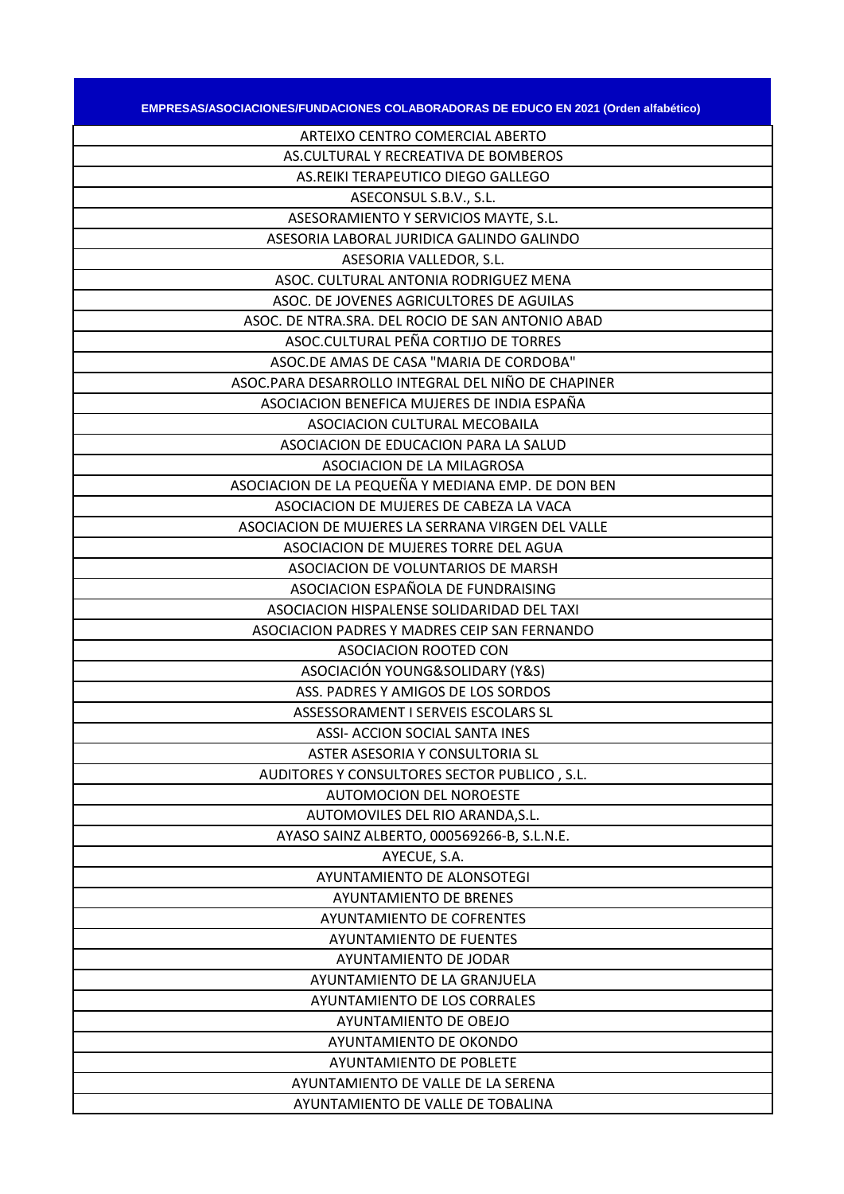| EMPRESAS/ASOCIACIONES/FUNDACIONES COLABORADORAS DE EDUCO EN 2021 (Orden alfabético) |
|-------------------------------------------------------------------------------------|
| ARTEIXO CENTRO COMERCIAL ABERTO                                                     |
| AS.CULTURAL Y RECREATIVA DE BOMBEROS                                                |
| AS.REIKI TERAPEUTICO DIEGO GALLEGO                                                  |
| ASECONSUL S.B.V., S.L.                                                              |
| ASESORAMIENTO Y SERVICIOS MAYTE, S.L.                                               |
| ASESORIA LABORAL JURIDICA GALINDO GALINDO                                           |
| ASESORIA VALLEDOR, S.L.                                                             |
| ASOC. CULTURAL ANTONIA RODRIGUEZ MENA                                               |
| ASOC. DE JOVENES AGRICULTORES DE AGUILAS                                            |
| ASOC. DE NTRA.SRA. DEL ROCIO DE SAN ANTONIO ABAD                                    |
| ASOC.CULTURAL PEÑA CORTIJO DE TORRES                                                |
| ASOC.DE AMAS DE CASA "MARIA DE CORDOBA"                                             |
| ASOC.PARA DESARROLLO INTEGRAL DEL NIÑO DE CHAPINER                                  |
| ASOCIACION BENEFICA MUJERES DE INDIA ESPAÑA                                         |
| ASOCIACION CULTURAL MECOBAILA                                                       |
| ASOCIACION DE EDUCACION PARA LA SALUD                                               |
| ASOCIACION DE LA MILAGROSA                                                          |
| ASOCIACION DE LA PEQUEÑA Y MEDIANA EMP. DE DON BEN                                  |
| ASOCIACION DE MUJERES DE CABEZA LA VACA                                             |
| ASOCIACION DE MUJERES LA SERRANA VIRGEN DEL VALLE                                   |
| ASOCIACION DE MUJERES TORRE DEL AGUA                                                |
| ASOCIACION DE VOLUNTARIOS DE MARSH                                                  |
| ASOCIACION ESPAÑOLA DE FUNDRAISING                                                  |
| ASOCIACION HISPALENSE SOLIDARIDAD DEL TAXI                                          |
| ASOCIACION PADRES Y MADRES CEIP SAN FERNANDO                                        |
| ASOCIACION ROOTED CON                                                               |
| ASOCIACIÓN YOUNG&SOLIDARY (Y&S)<br>ASS. PADRES Y AMIGOS DE LOS SORDOS               |
| ASSESSORAMENT I SERVEIS ESCOLARS SL                                                 |
| ASSI- ACCION SOCIAL SANTA INES                                                      |
| ASTER ASESORIA Y CONSULTORIA SL                                                     |
| AUDITORES Y CONSULTORES SECTOR PUBLICO, S.L.                                        |
| <b>AUTOMOCION DEL NOROESTE</b>                                                      |
| AUTOMOVILES DEL RIO ARANDA, S.L.                                                    |
| AYASO SAINZ ALBERTO, 000569266-B, S.L.N.E.                                          |
| AYECUE, S.A.                                                                        |
| AYUNTAMIENTO DE ALONSOTEGI                                                          |
| <b>AYUNTAMIENTO DE BRENES</b>                                                       |
| AYUNTAMIENTO DE COFRENTES                                                           |
| <b>AYUNTAMIENTO DE FUENTES</b>                                                      |
| AYUNTAMIENTO DE JODAR                                                               |
| AYUNTAMIENTO DE LA GRANJUELA                                                        |
| AYUNTAMIENTO DE LOS CORRALES                                                        |
| AYUNTAMIENTO DE OBEJO                                                               |
| AYUNTAMIENTO DE OKONDO                                                              |
| <b>AYUNTAMIENTO DE POBLETE</b>                                                      |
| AYUNTAMIENTO DE VALLE DE LA SERENA                                                  |
| AYUNTAMIENTO DE VALLE DE TOBALINA                                                   |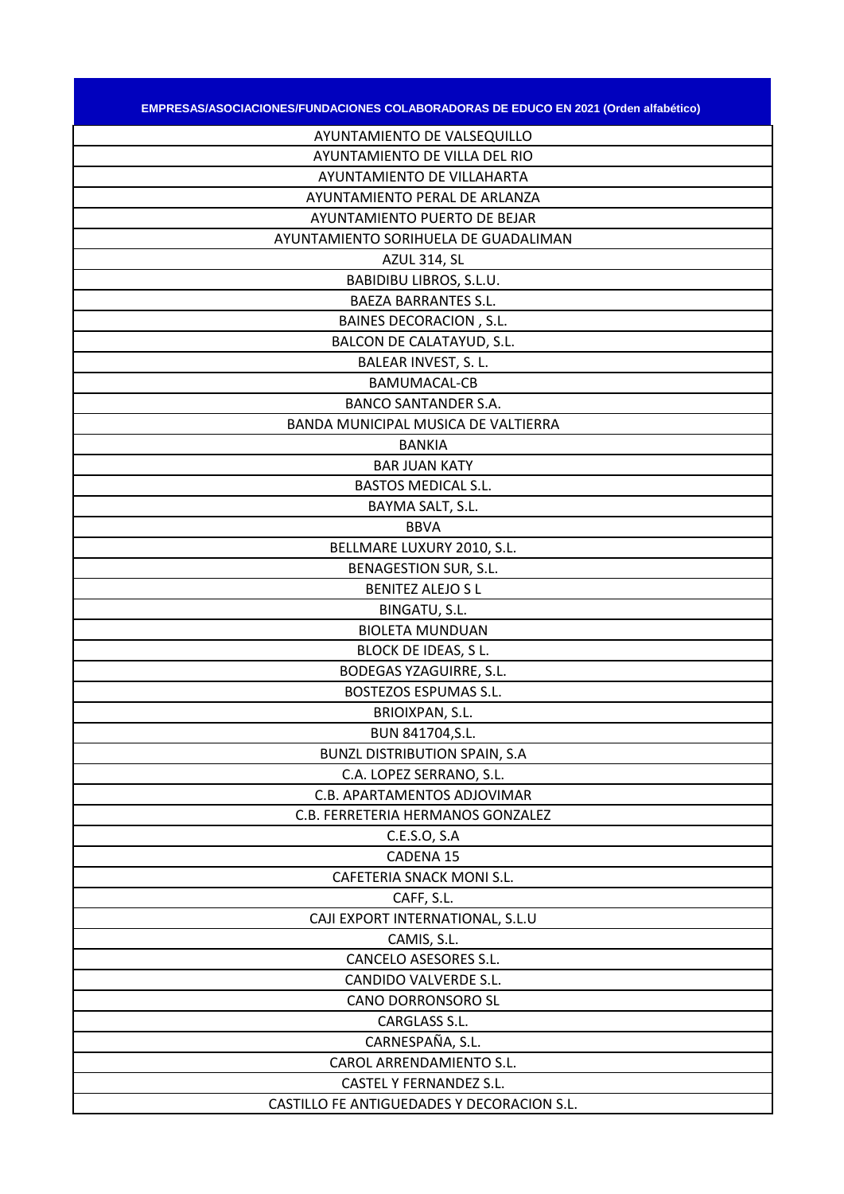| EMPRESAS/ASOCIACIONES/FUNDACIONES COLABORADORAS DE EDUCO EN 2021 (Orden alfabético) |
|-------------------------------------------------------------------------------------|
| AYUNTAMIENTO DE VALSEQUILLO                                                         |
| AYUNTAMIENTO DE VILLA DEL RIO                                                       |
| AYUNTAMIENTO DE VILLAHARTA                                                          |
| <b>AYUNTAMIENTO PERAL DE ARLANZA</b>                                                |
| AYUNTAMIENTO PUERTO DE BEJAR                                                        |
| AYUNTAMIENTO SORIHUELA DE GUADALIMAN                                                |
| <b>AZUL 314, SL</b>                                                                 |
| BABIDIBU LIBROS, S.L.U.                                                             |
| <b>BAEZA BARRANTES S.L.</b>                                                         |
| <b>BAINES DECORACION, S.L.</b>                                                      |
| BALCON DE CALATAYUD, S.L.                                                           |
| BALEAR INVEST, S. L.                                                                |
| <b>BAMUMACAL-CB</b>                                                                 |
| <b>BANCO SANTANDER S.A.</b>                                                         |
| BANDA MUNICIPAL MUSICA DE VALTIERRA                                                 |
| <b>BANKIA</b>                                                                       |
| <b>BAR JUAN KATY</b>                                                                |
| <b>BASTOS MEDICAL S.L.</b>                                                          |
| BAYMA SALT, S.L.                                                                    |
| <b>BBVA</b>                                                                         |
| BELLMARE LUXURY 2010, S.L.                                                          |
| <b>BENAGESTION SUR, S.L.</b>                                                        |
| <b>BENITEZ ALEJO S L</b>                                                            |
| BINGATU, S.L.                                                                       |
| <b>BIOLETA MUNDUAN</b>                                                              |
| BLOCK DE IDEAS, S L.                                                                |
| <b>BODEGAS YZAGUIRRE, S.L.</b>                                                      |
| BOSTEZOS ESPUMAS S.L.                                                               |
| BRIOIXPAN, S.L.                                                                     |
| BUN 841704, S.L.                                                                    |
| <b>BUNZL DISTRIBUTION SPAIN, S.A</b>                                                |
| C.A. LOPEZ SERRANO, S.L.                                                            |
| C.B. APARTAMENTOS ADJOVIMAR                                                         |
| C.B. FERRETERIA HERMANOS GONZALEZ                                                   |
| C.E.S.O, S.A                                                                        |
| CADENA 15                                                                           |
| CAFETERIA SNACK MONI S.L.                                                           |
| CAFF, S.L.                                                                          |
| CAJI EXPORT INTERNATIONAL, S.L.U                                                    |
| CAMIS, S.L.                                                                         |
| CANCELO ASESORES S.L.                                                               |
| CANDIDO VALVERDE S.L.                                                               |
| CANO DORRONSORO SL                                                                  |
| CARGLASS S.L.                                                                       |
| CARNESPAÑA, S.L.                                                                    |
| CAROL ARRENDAMIENTO S.L.                                                            |
| CASTEL Y FERNANDEZ S.L.                                                             |
| CASTILLO FE ANTIGUEDADES Y DECORACION S.L.                                          |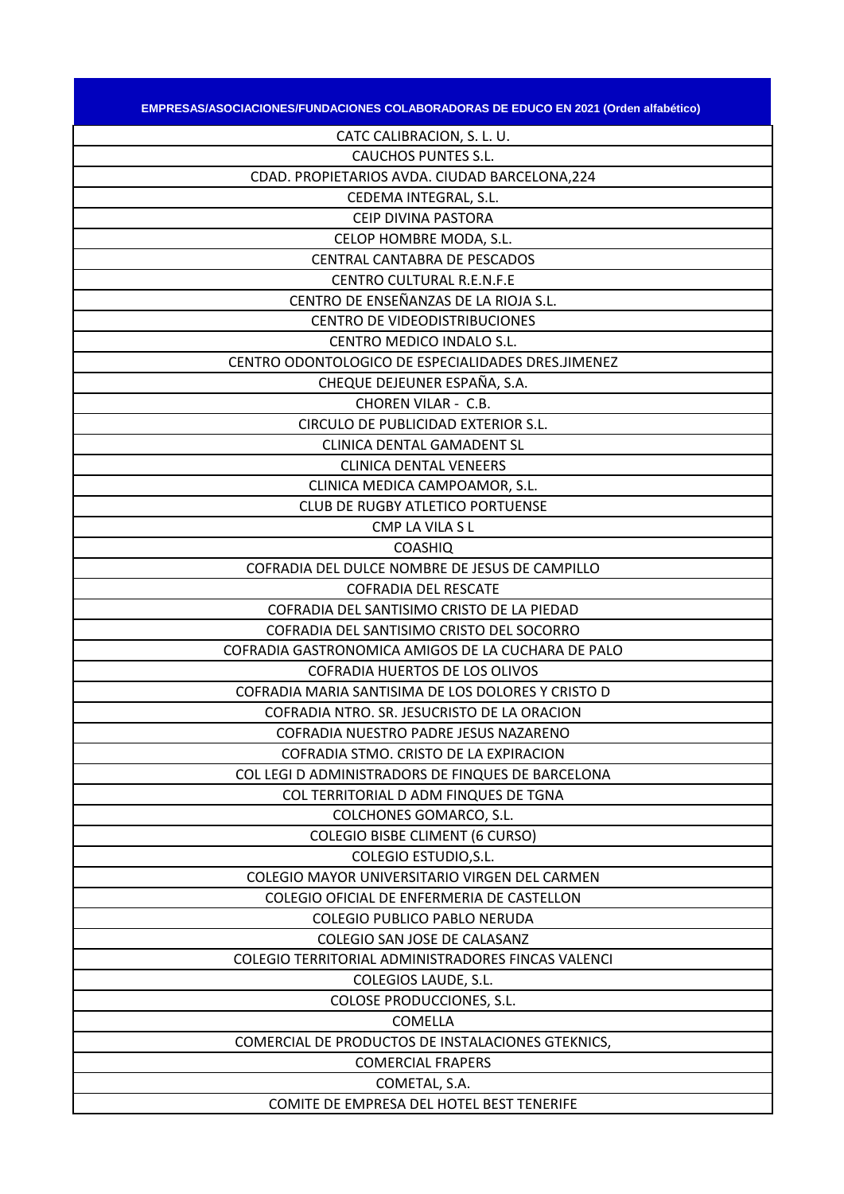| EMPRESAS/ASOCIACIONES/FUNDACIONES COLABORADORAS DE EDUCO EN 2021 (Orden alfabético) |
|-------------------------------------------------------------------------------------|
| CATC CALIBRACION, S. L. U.                                                          |
| <b>CAUCHOS PUNTES S.L.</b>                                                          |
| CDAD. PROPIETARIOS AVDA. CIUDAD BARCELONA, 224                                      |
| CEDEMA INTEGRAL, S.L.                                                               |
| CEIP DIVINA PASTORA                                                                 |
| CELOP HOMBRE MODA, S.L.                                                             |
| CENTRAL CANTABRA DE PESCADOS                                                        |
| <b>CENTRO CULTURAL R.E.N.F.E</b>                                                    |
| CENTRO DE ENSEÑANZAS DE LA RIOJA S.L.                                               |
| <b>CENTRO DE VIDEODISTRIBUCIONES</b>                                                |
| CENTRO MEDICO INDALO S.L.                                                           |
| CENTRO ODONTOLOGICO DE ESPECIALIDADES DRES.JIMENEZ                                  |
| CHEQUE DEJEUNER ESPAÑA, S.A.                                                        |
| CHOREN VILAR - C.B.                                                                 |
| CIRCULO DE PUBLICIDAD EXTERIOR S.L.                                                 |
| CLINICA DENTAL GAMADENT SL                                                          |
| <b>CLINICA DENTAL VENEERS</b>                                                       |
| CLINICA MEDICA CAMPOAMOR, S.L.                                                      |
| <b>CLUB DE RUGBY ATLETICO PORTUENSE</b>                                             |
| CMP LA VILA S L                                                                     |
| <b>COASHIQ</b>                                                                      |
| COFRADIA DEL DULCE NOMBRE DE JESUS DE CAMPILLO                                      |
| <b>COFRADIA DEL RESCATE</b>                                                         |
| COFRADIA DEL SANTISIMO CRISTO DE LA PIEDAD                                          |
| COFRADIA DEL SANTISIMO CRISTO DEL SOCORRO                                           |
| COFRADIA GASTRONOMICA AMIGOS DE LA CUCHARA DE PALO                                  |
| COFRADIA HUERTOS DE LOS OLIVOS                                                      |
| COFRADIA MARIA SANTISIMA DE LOS DOLORES Y CRISTO D                                  |
| COFRADIA NTRO. SR. JESUCRISTO DE LA ORACION                                         |
| COFRADIA NUESTRO PADRE JESUS NAZARENO                                               |
| COFRADIA STMO. CRISTO DE LA EXPIRACION                                              |
| COL LEGI D ADMINISTRADORS DE FINQUES DE BARCELONA                                   |
| COL TERRITORIAL D ADM FINQUES DE TGNA                                               |
| COLCHONES GOMARCO, S.L.                                                             |
| <b>COLEGIO BISBE CLIMENT (6 CURSO)</b>                                              |
| COLEGIO ESTUDIO, S.L.                                                               |
| COLEGIO MAYOR UNIVERSITARIO VIRGEN DEL CARMEN                                       |
| COLEGIO OFICIAL DE ENFERMERIA DE CASTELLON                                          |
| <b>COLEGIO PUBLICO PABLO NERUDA</b>                                                 |
| COLEGIO SAN JOSE DE CALASANZ                                                        |
| COLEGIO TERRITORIAL ADMINISTRADORES FINCAS VALENCI                                  |
| COLEGIOS LAUDE, S.L.                                                                |
| COLOSE PRODUCCIONES, S.L.                                                           |
| COMELLA                                                                             |
| COMERCIAL DE PRODUCTOS DE INSTALACIONES GTEKNICS,                                   |
| <b>COMERCIAL FRAPERS</b>                                                            |
| COMETAL, S.A.                                                                       |
| COMITE DE EMPRESA DEL HOTEL BEST TENERIFE                                           |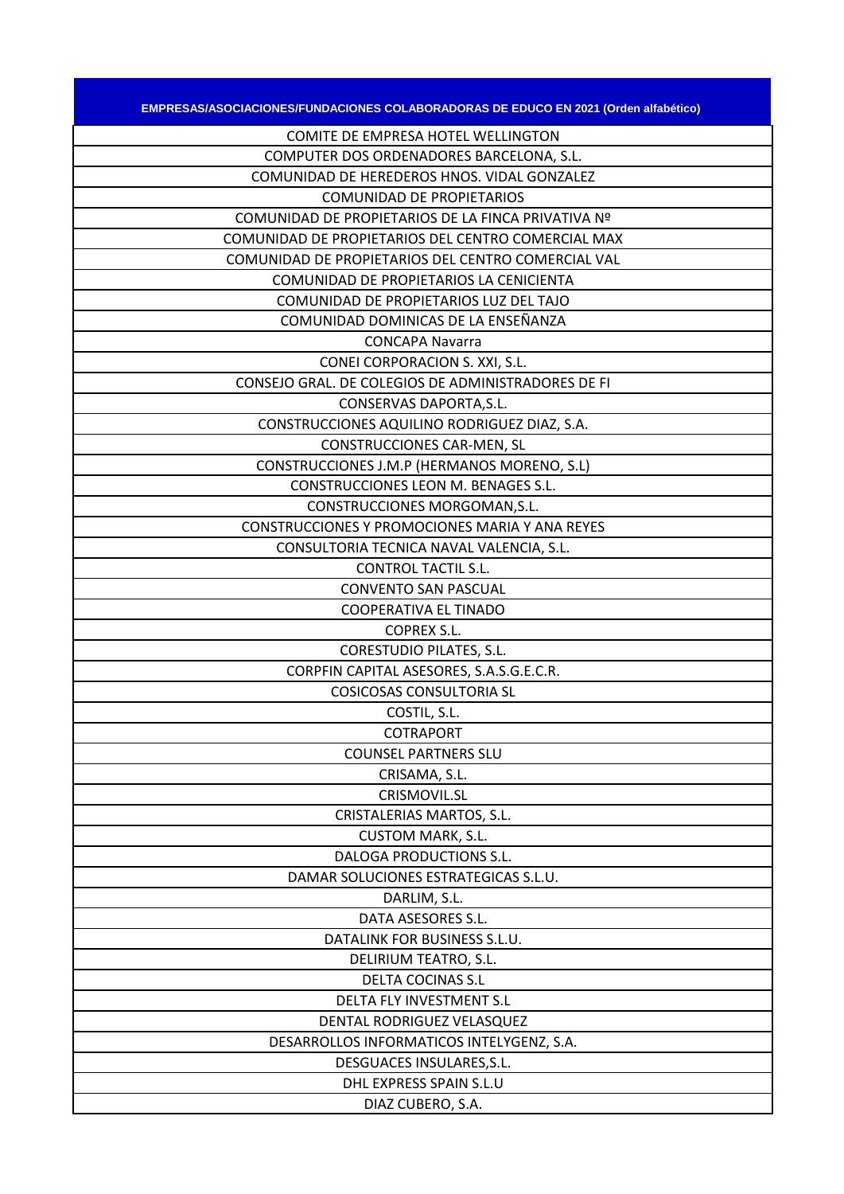| <b>EMPRESAS/ASOCIACIONES/FUNDACIONES COLABORADORAS DE EDUCO EN 2021 (Orden alfabético)</b> |
|--------------------------------------------------------------------------------------------|
| COMITE DE EMPRESA HOTEL WELLINGTON                                                         |
| COMPUTER DOS ORDENADORES BARCELONA, S.L.                                                   |
| COMUNIDAD DE HEREDEROS HNOS. VIDAL GONZALEZ                                                |
| <b>COMUNIDAD DE PROPIETARIOS</b>                                                           |
| COMUNIDAD DE PROPIETARIOS DE LA FINCA PRIVATIVA Nº                                         |
| COMUNIDAD DE PROPIETARIOS DEL CENTRO COMERCIAL MAX                                         |
| COMUNIDAD DE PROPIETARIOS DEL CENTRO COMERCIAL VAL                                         |
| COMUNIDAD DE PROPIETARIOS LA CENICIENTA                                                    |
| COMUNIDAD DE PROPIETARIOS LUZ DEL TAJO                                                     |
| COMUNIDAD DOMINICAS DE LA ENSEÑANZA                                                        |
| <b>CONCAPA Navarra</b>                                                                     |
| CONEI CORPORACION S. XXI, S.L.                                                             |
| CONSEJO GRAL. DE COLEGIOS DE ADMINISTRADORES DE FI                                         |
| CONSERVAS DAPORTA, S.L.                                                                    |
| CONSTRUCCIONES AQUILINO RODRIGUEZ DIAZ, S.A.                                               |
| <b>CONSTRUCCIONES CAR-MEN, SL</b>                                                          |
| CONSTRUCCIONES J.M.P (HERMANOS MORENO, S.L)                                                |
| CONSTRUCCIONES LEON M. BENAGES S.L.                                                        |
| CONSTRUCCIONES MORGOMAN, S.L.                                                              |
| CONSTRUCCIONES Y PROMOCIONES MARIA Y ANA REYES                                             |
| CONSULTORIA TECNICA NAVAL VALENCIA, S.L.                                                   |
| <b>CONTROL TACTIL S.L.</b>                                                                 |
| <b>CONVENTO SAN PASCUAL</b>                                                                |
| COOPERATIVA EL TINADO                                                                      |
| <b>COPREX S.L.</b>                                                                         |
| <b>CORESTUDIO PILATES, S.L.</b>                                                            |
| CORPFIN CAPITAL ASESORES, S.A.S.G.E.C.R.                                                   |
| <b>COSICOSAS CONSULTORIA SL</b>                                                            |
| COSTIL, S.L.                                                                               |
| <b>COTRAPORT</b>                                                                           |
| <b>COUNSEL PARTNERS SLU</b>                                                                |
| CRISAMA, S.L.                                                                              |
| CRISMOVIL.SL                                                                               |
| CRISTALERIAS MARTOS, S.L.                                                                  |
| <b>CUSTOM MARK, S.L.</b>                                                                   |
| DALOGA PRODUCTIONS S.L.                                                                    |
| DAMAR SOLUCIONES ESTRATEGICAS S.L.U.                                                       |
| DARLIM, S.L.                                                                               |
| DATA ASESORES S.L.                                                                         |
| DATALINK FOR BUSINESS S.L.U.                                                               |
| DELIRIUM TEATRO, S.L.                                                                      |
| <b>DELTA COCINAS S.L</b>                                                                   |
| DELTA FLY INVESTMENT S.L                                                                   |
| DENTAL RODRIGUEZ VELASQUEZ                                                                 |
| DESARROLLOS INFORMATICOS INTELYGENZ, S.A.                                                  |
| DESGUACES INSULARES, S.L.                                                                  |
| DHL EXPRESS SPAIN S.L.U                                                                    |
| DIAZ CUBERO, S.A.                                                                          |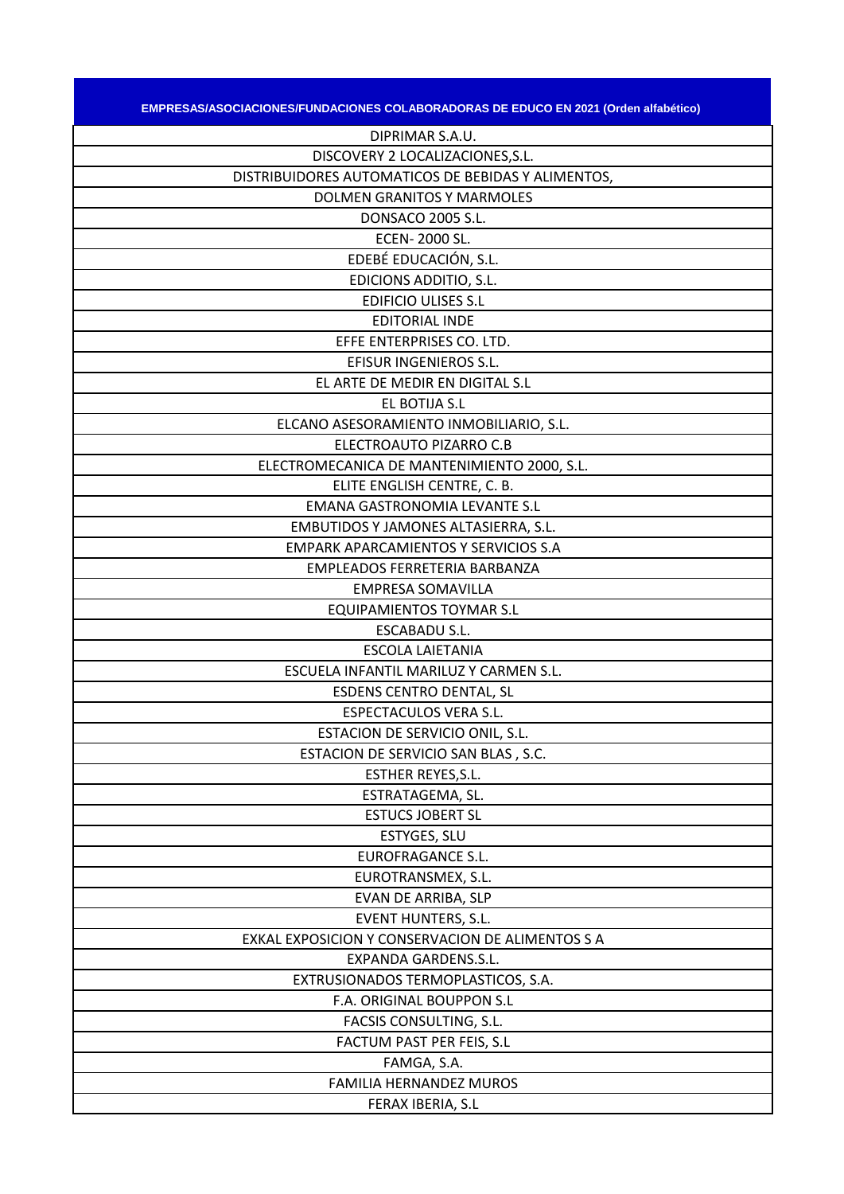| EMPRESAS/ASOCIACIONES/FUNDACIONES COLABORADORAS DE EDUCO EN 2021 (Orden alfabético) |
|-------------------------------------------------------------------------------------|
| DIPRIMAR S.A.U.                                                                     |
| DISCOVERY 2 LOCALIZACIONES, S.L.                                                    |
| DISTRIBUIDORES AUTOMATICOS DE BEBIDAS Y ALIMENTOS,                                  |
| <b>DOLMEN GRANITOS Y MARMOLES</b>                                                   |
| DONSACO 2005 S.L.                                                                   |
| ECEN-2000 SL.                                                                       |
| EDEBÉ EDUCACIÓN, S.L.                                                               |
| EDICIONS ADDITIO, S.L.                                                              |
| <b>EDIFICIO ULISES S.L</b>                                                          |
| <b>EDITORIAL INDE</b>                                                               |
| EFFE ENTERPRISES CO. LTD.                                                           |
| EFISUR INGENIEROS S.L.                                                              |
| EL ARTE DE MEDIR EN DIGITAL S.L                                                     |
| EL BOTIJA S.L                                                                       |
| ELCANO ASESORAMIENTO INMOBILIARIO, S.L.                                             |
| ELECTROAUTO PIZARRO C.B                                                             |
| ELECTROMECANICA DE MANTENIMIENTO 2000, S.L.                                         |
| ELITE ENGLISH CENTRE, C. B.                                                         |
| <b>EMANA GASTRONOMIA LEVANTE S.L</b>                                                |
| EMBUTIDOS Y JAMONES ALTASIERRA, S.L.                                                |
| <b>EMPARK APARCAMIENTOS Y SERVICIOS S.A</b>                                         |
| EMPLEADOS FERRETERIA BARBANZA                                                       |
| <b>EMPRESA SOMAVILLA</b>                                                            |
| <b>EQUIPAMIENTOS TOYMAR S.L</b>                                                     |
| <b>ESCABADU S.L.</b>                                                                |
| <b>ESCOLA LAIETANIA</b>                                                             |
| ESCUELA INFANTIL MARILUZ Y CARMEN S.L.                                              |
| <b>ESDENS CENTRO DENTAL, SL</b>                                                     |
| <b>ESPECTACULOS VERA S.L.</b>                                                       |
| ESTACION DE SERVICIO ONIL, S.L.                                                     |
| ESTACION DE SERVICIO SAN BLAS, S.C.                                                 |
| ESTHER REYES, S.L.                                                                  |
| ESTRATAGEMA, SL.                                                                    |
| <b>ESTUCS JOBERT SL</b>                                                             |
| ESTYGES, SLU                                                                        |
| <b>EUROFRAGANCE S.L.</b>                                                            |
| EUROTRANSMEX, S.L.                                                                  |
| EVAN DE ARRIBA, SLP                                                                 |
| <b>EVENT HUNTERS, S.L.</b>                                                          |
| EXKAL EXPOSICION Y CONSERVACION DE ALIMENTOS S A                                    |
| EXPANDA GARDENS.S.L.                                                                |
| EXTRUSIONADOS TERMOPLASTICOS, S.A.                                                  |
| F.A. ORIGINAL BOUPPON S.L                                                           |
| FACSIS CONSULTING, S.L.                                                             |
| FACTUM PAST PER FEIS, S.L                                                           |
| FAMGA, S.A.                                                                         |
| <b>FAMILIA HERNANDEZ MUROS</b>                                                      |
| FERAX IBERIA, S.L                                                                   |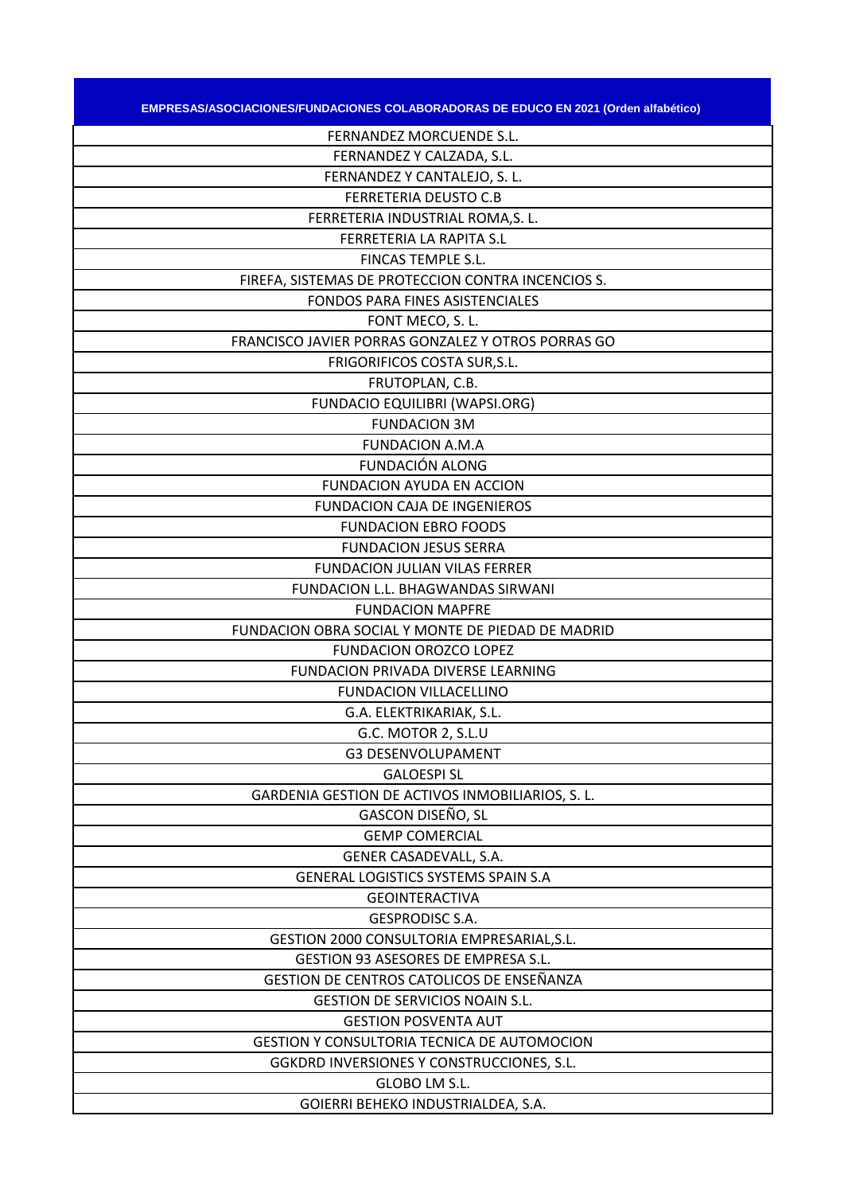| EMPRESAS/ASOCIACIONES/FUNDACIONES COLABORADORAS DE EDUCO EN 2021 (Orden alfabético) |
|-------------------------------------------------------------------------------------|
| FERNANDEZ MORCUENDE S.L.                                                            |
| FERNANDEZ Y CALZADA, S.L.                                                           |
| FERNANDEZ Y CANTALEJO, S. L.                                                        |
| <b>FERRETERIA DEUSTO C.B</b>                                                        |
| FERRETERIA INDUSTRIAL ROMA, S. L.                                                   |
| FERRETERIA LA RAPITA S.L                                                            |
| FINCAS TEMPLE S.L.                                                                  |
| FIREFA, SISTEMAS DE PROTECCION CONTRA INCENCIOS S.                                  |
| FONDOS PARA FINES ASISTENCIALES                                                     |
| FONT MECO, S.L.                                                                     |
| FRANCISCO JAVIER PORRAS GONZALEZ Y OTROS PORRAS GO                                  |
| FRIGORIFICOS COSTA SUR, S.L.                                                        |
| FRUTOPLAN, C.B.                                                                     |
| <b>FUNDACIO EQUILIBRI (WAPSI.ORG)</b>                                               |
| <b>FUNDACION 3M</b>                                                                 |
| <b>FUNDACION A.M.A</b>                                                              |
| FUNDACIÓN ALONG                                                                     |
| <b>FUNDACION AYUDA EN ACCION</b>                                                    |
| <b>FUNDACION CAJA DE INGENIEROS</b>                                                 |
| <b>FUNDACION EBRO FOODS</b>                                                         |
| <b>FUNDACION JESUS SERRA</b>                                                        |
| <b>FUNDACION JULIAN VILAS FERRER</b>                                                |
| FUNDACION L.L. BHAGWANDAS SIRWANI                                                   |
| <b>FUNDACION MAPFRE</b>                                                             |
| FUNDACION OBRA SOCIAL Y MONTE DE PIEDAD DE MADRID                                   |
| FUNDACION OROZCO LOPEZ                                                              |
| <b>FUNDACION PRIVADA DIVERSE LEARNING</b>                                           |
| <b>FUNDACION VILLACELLINO</b>                                                       |
| G.A. ELEKTRIKARIAK, S.L.                                                            |
| G.C. MOTOR 2, S.L.U                                                                 |
| <b>G3 DESENVOLUPAMENT</b>                                                           |
| <b>GALOESPI SL</b>                                                                  |
| GARDENIA GESTION DE ACTIVOS INMOBILIARIOS, S. L.                                    |
| GASCON DISEÑO, SL                                                                   |
| <b>GEMP COMERCIAL</b>                                                               |
| GENER CASADEVALL, S.A.                                                              |
| <b>GENERAL LOGISTICS SYSTEMS SPAIN S.A</b>                                          |
| <b>GEOINTERACTIVA</b>                                                               |
| <b>GESPRODISC S.A.</b>                                                              |
| GESTION 2000 CONSULTORIA EMPRESARIAL, S.L.                                          |
| GESTION 93 ASESORES DE EMPRESA S.L.                                                 |
| GESTION DE CENTROS CATOLICOS DE ENSEÑANZA                                           |
| <b>GESTION DE SERVICIOS NOAIN S.L.</b>                                              |
| <b>GESTION POSVENTA AUT</b>                                                         |
| GESTION Y CONSULTORIA TECNICA DE AUTOMOCION                                         |
| GGKDRD INVERSIONES Y CONSTRUCCIONES, S.L.                                           |
| GLOBO LM S.L.                                                                       |
| GOIERRI BEHEKO INDUSTRIALDEA, S.A.                                                  |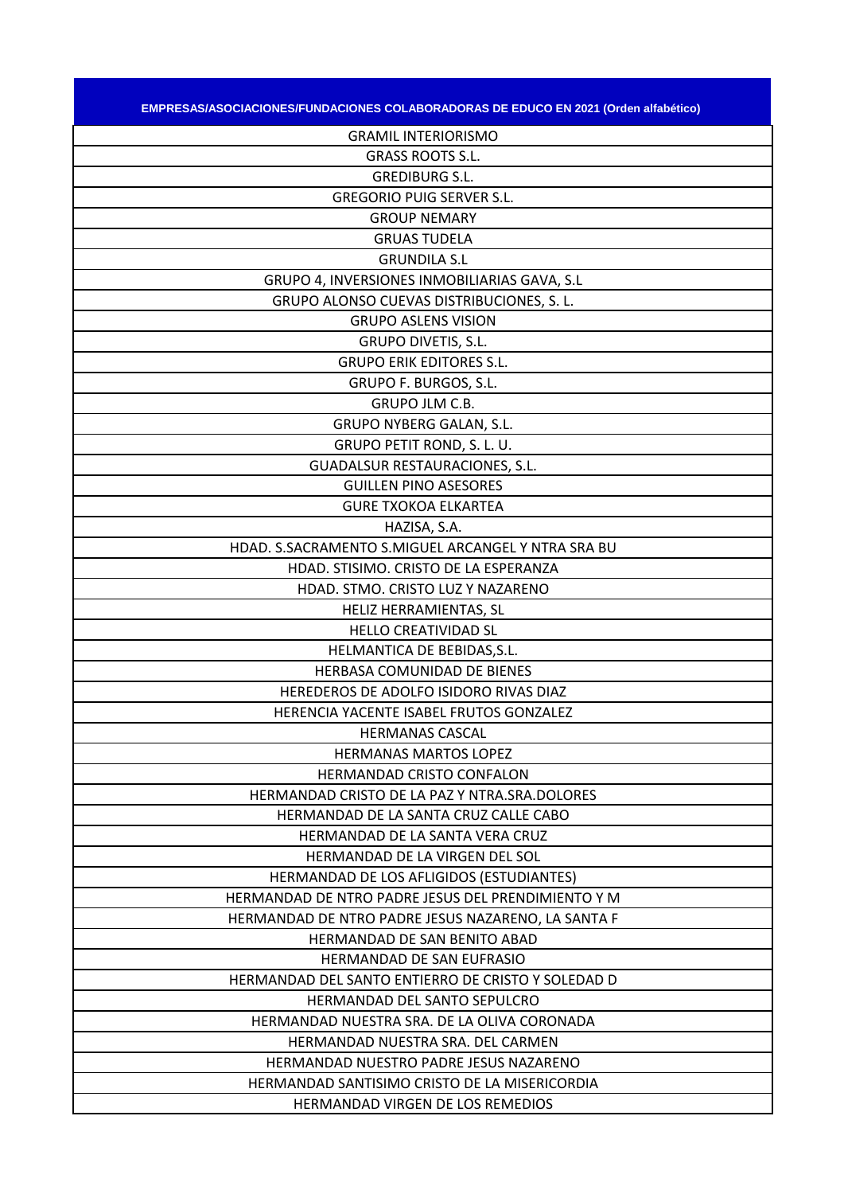| <b>EMPRESAS/ASOCIACIONES/FUNDACIONES COLABORADORAS DE EDUCO EN 2021 (Orden alfabético)</b> |  |
|--------------------------------------------------------------------------------------------|--|
|                                                                                            |  |

| <b>GRAMIL INTERIORISMO</b>                         |
|----------------------------------------------------|
| <b>GRASS ROOTS S.L.</b>                            |
| <b>GREDIBURG S.L.</b>                              |
| <b>GREGORIO PUIG SERVER S.L.</b>                   |
| <b>GROUP NEMARY</b>                                |
| <b>GRUAS TUDELA</b>                                |
| <b>GRUNDILA S.L</b>                                |
| GRUPO 4, INVERSIONES INMOBILIARIAS GAVA, S.L.      |
| GRUPO ALONSO CUEVAS DISTRIBUCIONES, S. L.          |
| <b>GRUPO ASLENS VISION</b>                         |
| GRUPO DIVETIS, S.L.                                |
| <b>GRUPO ERIK EDITORES S.L.</b>                    |
| GRUPO F. BURGOS, S.L.                              |
| <b>GRUPO JLM C.B.</b>                              |
| GRUPO NYBERG GALAN, S.L.                           |
| GRUPO PETIT ROND, S. L. U.                         |
| <b>GUADALSUR RESTAURACIONES, S.L.</b>              |
| <b>GUILLEN PINO ASESORES</b>                       |
| <b>GURE TXOKOA ELKARTEA</b>                        |
| HAZISA, S.A.                                       |
| HDAD. S.SACRAMENTO S.MIGUEL ARCANGEL Y NTRA SRA BU |
| HDAD. STISIMO. CRISTO DE LA ESPERANZA              |
| HDAD. STMO. CRISTO LUZ Y NAZARENO                  |
| HELIZ HERRAMIENTAS, SL                             |
| <b>HELLO CREATIVIDAD SL</b>                        |
| HELMANTICA DE BEBIDAS, S.L.                        |
| HERBASA COMUNIDAD DE BIENES                        |
| HEREDEROS DE ADOLFO ISIDORO RIVAS DIAZ             |
| HERENCIA YACENTE ISABEL FRUTOS GONZALEZ            |
| <b>HERMANAS CASCAL</b>                             |
| HERMANAS MARTOS LOPEZ                              |
| <b>HERMANDAD CRISTO CONFALON</b>                   |
| HERMANDAD CRISTO DE LA PAZ Y NTRA.SRA.DOLORES      |
| HERMANDAD DE LA SANTA CRUZ CALLE CABO              |
| HERMANDAD DE LA SANTA VERA CRUZ                    |
| HERMANDAD DE LA VIRGEN DEL SOL                     |
| HERMANDAD DE LOS AFLIGIDOS (ESTUDIANTES)           |
| HERMANDAD DE NTRO PADRE JESUS DEL PRENDIMIENTO Y M |
| HERMANDAD DE NTRO PADRE JESUS NAZARENO, LA SANTA F |
| <b>HERMANDAD DE SAN BENITO ABAD</b>                |
| HERMANDAD DE SAN EUFRASIO                          |
| HERMANDAD DEL SANTO ENTIERRO DE CRISTO Y SOLEDAD D |
| HERMANDAD DEL SANTO SEPULCRO                       |
| HERMANDAD NUESTRA SRA. DE LA OLIVA CORONADA        |
| HERMANDAD NUESTRA SRA. DEL CARMEN                  |
| HERMANDAD NUESTRO PADRE JESUS NAZARENO             |
| HERMANDAD SANTISIMO CRISTO DE LA MISERICORDIA      |
| HERMANDAD VIRGEN DE LOS REMEDIOS                   |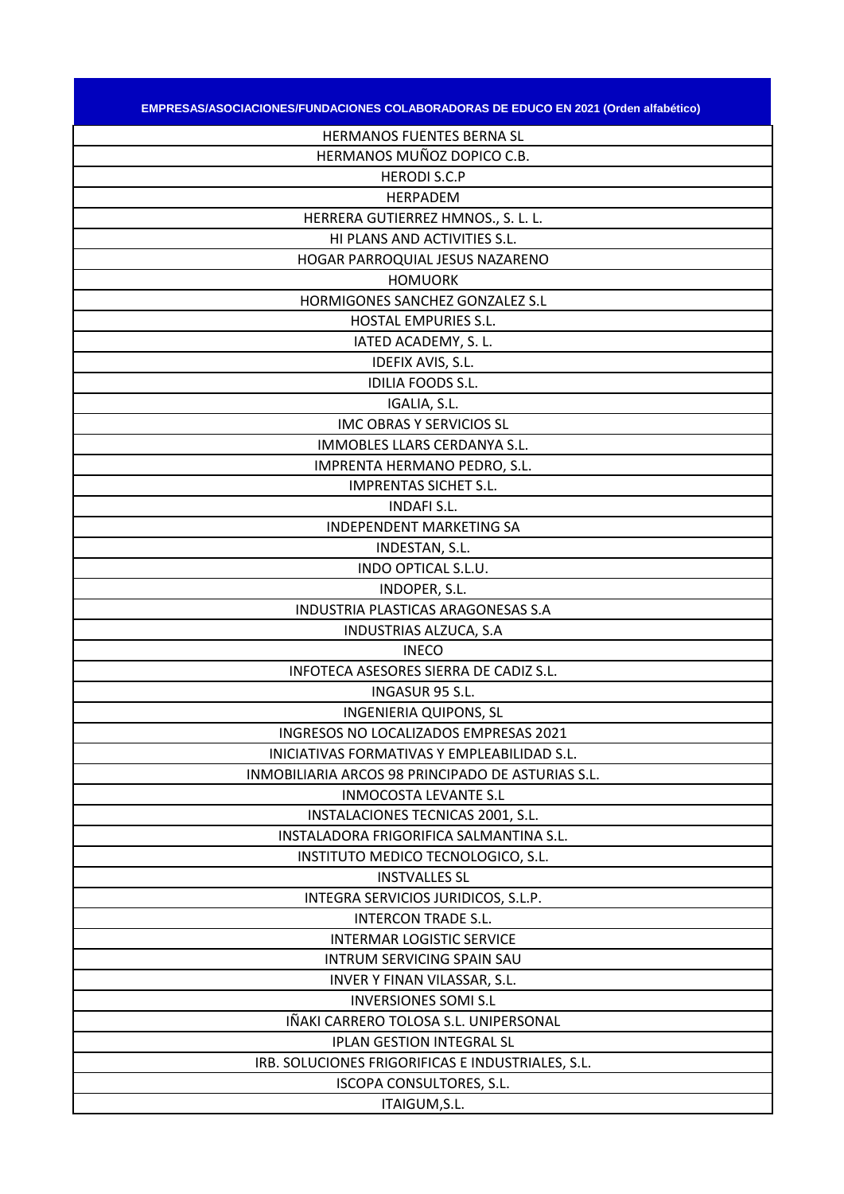| EMPRESAS/ASOCIACIONES/FUNDACIONES COLABORADORAS DE EDUCO EN 2021 (Orden alfabético) |
|-------------------------------------------------------------------------------------|
| HERMANOS FUENTES BERNA SL                                                           |
| HERMANOS MUÑOZ DOPICO C.B.                                                          |
| <b>HERODI S.C.P</b>                                                                 |
| <b>HERPADEM</b>                                                                     |
| HERRERA GUTIERREZ HMNOS., S. L. L.                                                  |
| HI PLANS AND ACTIVITIES S.L.                                                        |
| HOGAR PARROQUIAL JESUS NAZARENO                                                     |
| <b>HOMUORK</b>                                                                      |
| HORMIGONES SANCHEZ GONZALEZ S.L                                                     |
| HOSTAL EMPURIES S.L.                                                                |
| IATED ACADEMY, S. L.                                                                |
| IDEFIX AVIS, S.L.                                                                   |
| <b>IDILIA FOODS S.L.</b>                                                            |
| IGALIA, S.L.                                                                        |
| <b>IMC OBRAS Y SERVICIOS SL</b>                                                     |
| IMMOBLES LLARS CERDANYA S.L.                                                        |
| IMPRENTA HERMANO PEDRO, S.L.                                                        |
| <b>IMPRENTAS SICHET S.L.</b>                                                        |
| <b>INDAFI S.L.</b>                                                                  |
| <b>INDEPENDENT MARKETING SA</b>                                                     |
| INDESTAN, S.L.                                                                      |
| INDO OPTICAL S.L.U.                                                                 |
| INDOPER, S.L.                                                                       |
| INDUSTRIA PLASTICAS ARAGONESAS S.A                                                  |
| INDUSTRIAS ALZUCA, S.A                                                              |
| <b>INECO</b>                                                                        |
| INFOTECA ASESORES SIERRA DE CADIZ S.L.                                              |
| INGASUR 95 S.L.                                                                     |
| <b>INGENIERIA QUIPONS, SL</b>                                                       |
| INGRESOS NO LOCALIZADOS EMPRESAS 2021                                               |
| INICIATIVAS FORMATIVAS Y EMPLEABILIDAD S.L.                                         |
| INMOBILIARIA ARCOS 98 PRINCIPADO DE ASTURIAS S.L.                                   |
| <b>INMOCOSTA LEVANTE S.L</b>                                                        |
| INSTALACIONES TECNICAS 2001, S.L.                                                   |
| INSTALADORA FRIGORIFICA SALMANTINA S.L.                                             |
| INSTITUTO MEDICO TECNOLOGICO, S.L.                                                  |
| <b>INSTVALLES SL</b>                                                                |
| INTEGRA SERVICIOS JURIDICOS, S.L.P.                                                 |
| <b>INTERCON TRADE S.L.</b>                                                          |
| <b>INTERMAR LOGISTIC SERVICE</b>                                                    |
| INTRUM SERVICING SPAIN SAU                                                          |
| INVER Y FINAN VILASSAR, S.L.                                                        |
| <b>INVERSIONES SOMI S.L</b>                                                         |
| IÑAKI CARRERO TOLOSA S.L. UNIPERSONAL                                               |
| <b>IPLAN GESTION INTEGRAL SL</b>                                                    |
| IRB. SOLUCIONES FRIGORIFICAS E INDUSTRIALES, S.L.                                   |
| ISCOPA CONSULTORES, S.L.                                                            |
| ITAIGUM, S.L.                                                                       |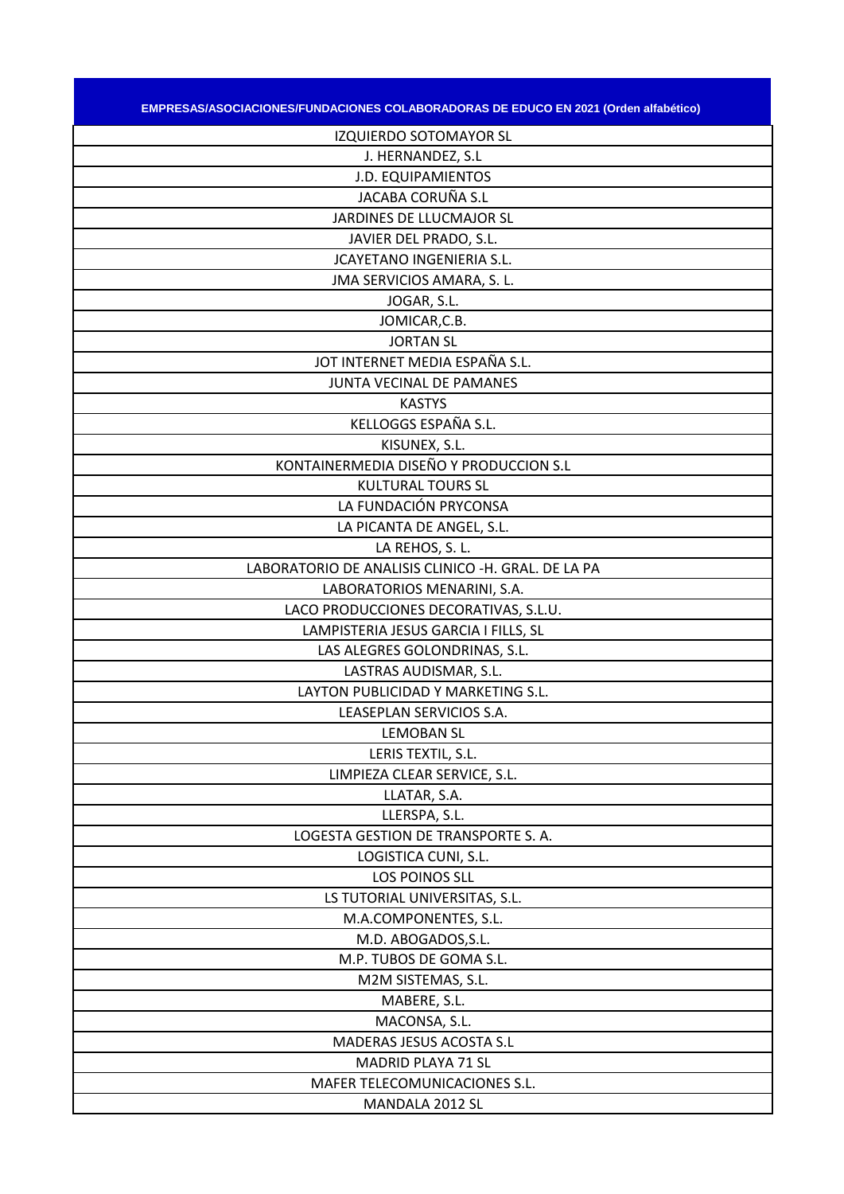| , EMPRESAS/ASOCIACIONES/FUNDACIONES COLABORADORAS DE EDUCO EN 2021 (Orden alfabético) |  |
|---------------------------------------------------------------------------------------|--|

| IZQUIERDO SOTOMAYOR SL                             |
|----------------------------------------------------|
| J. HERNANDEZ, S.L                                  |
| <b>J.D. EQUIPAMIENTOS</b>                          |
| JACABA CORUÑA S.L                                  |
| JARDINES DE LLUCMAJOR SL                           |
| JAVIER DEL PRADO, S.L.                             |
| <b>JCAYETANO INGENIERIA S.L.</b>                   |
| JMA SERVICIOS AMARA, S. L.                         |
| JOGAR, S.L.                                        |
| JOMICAR, C.B.                                      |
| <b>JORTAN SL</b>                                   |
| JOT INTERNET MEDIA ESPAÑA S.L.                     |
| JUNTA VECINAL DE PAMANES                           |
| <b>KASTYS</b>                                      |
| KELLOGGS ESPAÑA S.L.                               |
| KISUNEX, S.L.                                      |
| KONTAINERMEDIA DISEÑO Y PRODUCCION S.L             |
| <b>KULTURAL TOURS SL</b>                           |
| LA FUNDACIÓN PRYCONSA                              |
| LA PICANTA DE ANGEL, S.L.                          |
| LA REHOS, S. L.                                    |
| LABORATORIO DE ANALISIS CLINICO -H. GRAL. DE LA PA |
| LABORATORIOS MENARINI, S.A.                        |
| LACO PRODUCCIONES DECORATIVAS, S.L.U.              |
| LAMPISTERIA JESUS GARCIA I FILLS, SL               |
| LAS ALEGRES GOLONDRINAS, S.L.                      |
| LASTRAS AUDISMAR, S.L.                             |
| LAYTON PUBLICIDAD Y MARKETING S.L.                 |
| LEASEPLAN SERVICIOS S.A.                           |
| <b>LEMOBAN SL</b>                                  |
| LERIS TEXTIL, S.L.                                 |
| LIMPIEZA CLEAR SERVICE, S.L.                       |
| LLATAR, S.A.                                       |
| LLERSPA, S.L.                                      |
| LOGESTA GESTION DE TRANSPORTE S.A.                 |
| LOGISTICA CUNI, S.L.                               |
| LOS POINOS SLL                                     |
| LS TUTORIAL UNIVERSITAS, S.L.                      |
| M.A.COMPONENTES, S.L.                              |
| M.D. ABOGADOS, S.L.                                |
| M.P. TUBOS DE GOMA S.L.                            |
| M2M SISTEMAS, S.L.                                 |
| MABERE, S.L.                                       |
| MACONSA, S.L.                                      |
| MADERAS JESUS ACOSTA S.L                           |
| MADRID PLAYA 71 SL                                 |
| MAFER TELECOMUNICACIONES S.L.                      |
| MANDALA 2012 SL                                    |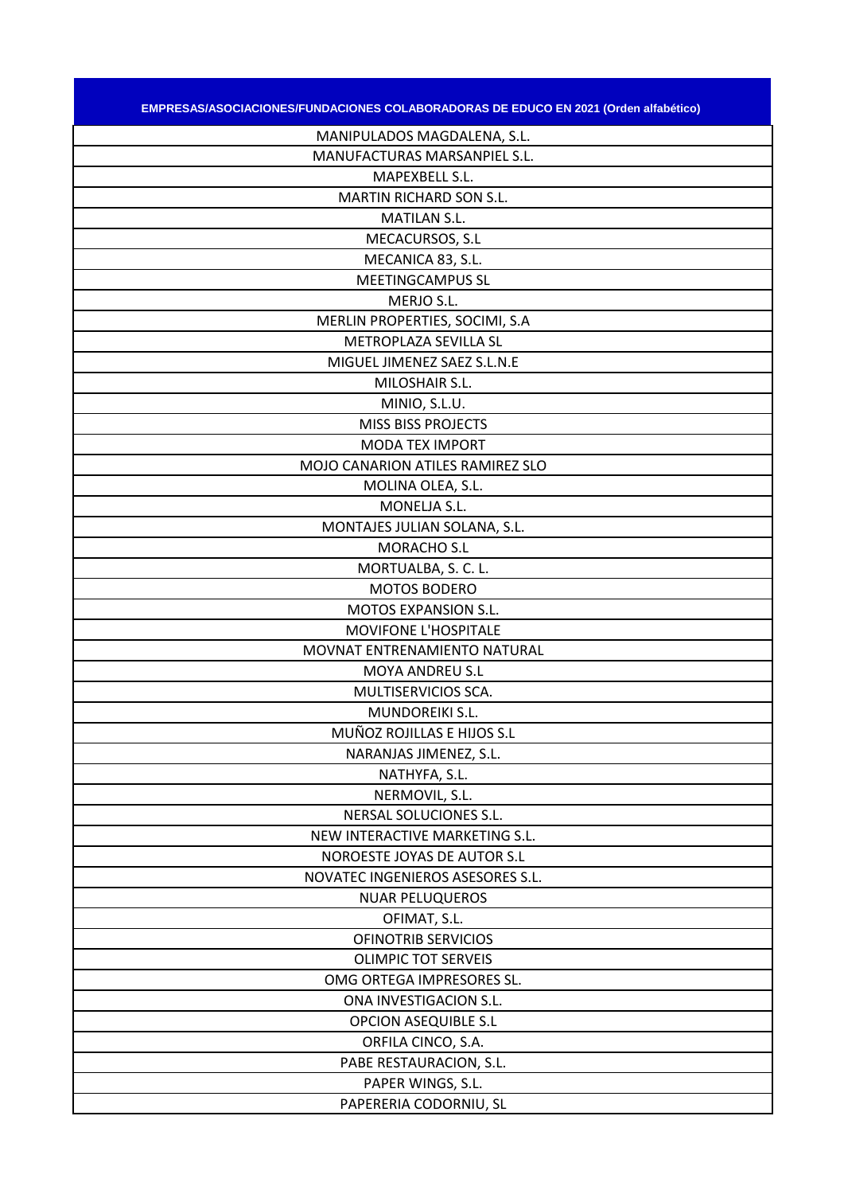| EMPRESAS/ASOCIACIONES/FUNDACIONES COLABORADORAS DE EDUCO EN 2021 (Orden alfabético) |
|-------------------------------------------------------------------------------------|
| MANIPULADOS MAGDALENA, S.L.                                                         |
| MANUFACTURAS MARSANPIEL S.L.                                                        |
| MAPEXBELL S.L.                                                                      |
| <b>MARTIN RICHARD SON S.L.</b>                                                      |
| <b>MATILAN S.L.</b>                                                                 |
| MECACURSOS, S.L                                                                     |
| MECANICA 83, S.L.                                                                   |
| <b>MEETINGCAMPUS SL</b>                                                             |
| MERJO S.L.                                                                          |
| MERLIN PROPERTIES, SOCIMI, S.A                                                      |
| METROPLAZA SEVILLA SL                                                               |
| MIGUEL JIMENEZ SAEZ S.L.N.E                                                         |
| MILOSHAIR S.L.                                                                      |
| MINIO, S.L.U.                                                                       |
| <b>MISS BISS PROJECTS</b>                                                           |
| <b>MODA TEX IMPORT</b>                                                              |
| MOJO CANARION ATILES RAMIREZ SLO                                                    |
| MOLINA OLEA, S.L.                                                                   |
| MONELJA S.L.                                                                        |
| MONTAJES JULIAN SOLANA, S.L.                                                        |
| MORACHO S.L                                                                         |
| MORTUALBA, S. C. L.                                                                 |
| <b>MOTOS BODERO</b>                                                                 |
| MOTOS EXPANSION S.L.                                                                |
| <b>MOVIFONE L'HOSPITALE</b>                                                         |
| MOVNAT ENTRENAMIENTO NATURAL                                                        |
| MOYA ANDREU S.L                                                                     |
| MULTISERVICIOS SCA.                                                                 |
| MUNDOREIKI S.L.                                                                     |
| MUÑOZ ROJILLAS E HIJOS S.L                                                          |
| NARANJAS JIMENEZ, S.L.                                                              |
| NATHYFA, S.L.                                                                       |
| NERMOVIL, S.L.                                                                      |
| NERSAL SOLUCIONES S.L.                                                              |
| NEW INTERACTIVE MARKETING S.L.                                                      |
| NOROESTE JOYAS DE AUTOR S.L                                                         |
| NOVATEC INGENIEROS ASESORES S.L.                                                    |
| <b>NUAR PELUQUEROS</b>                                                              |
| OFIMAT, S.L.                                                                        |
| <b>OFINOTRIB SERVICIOS</b>                                                          |
| <b>OLIMPIC TOT SERVEIS</b>                                                          |
| OMG ORTEGA IMPRESORES SL.                                                           |
| ONA INVESTIGACION S.L.                                                              |
| <b>OPCION ASEQUIBLE S.L</b>                                                         |
| ORFILA CINCO, S.A.                                                                  |
| PABE RESTAURACION, S.L.                                                             |
| PAPER WINGS, S.L.                                                                   |
| PAPERERIA CODORNIU, SL                                                              |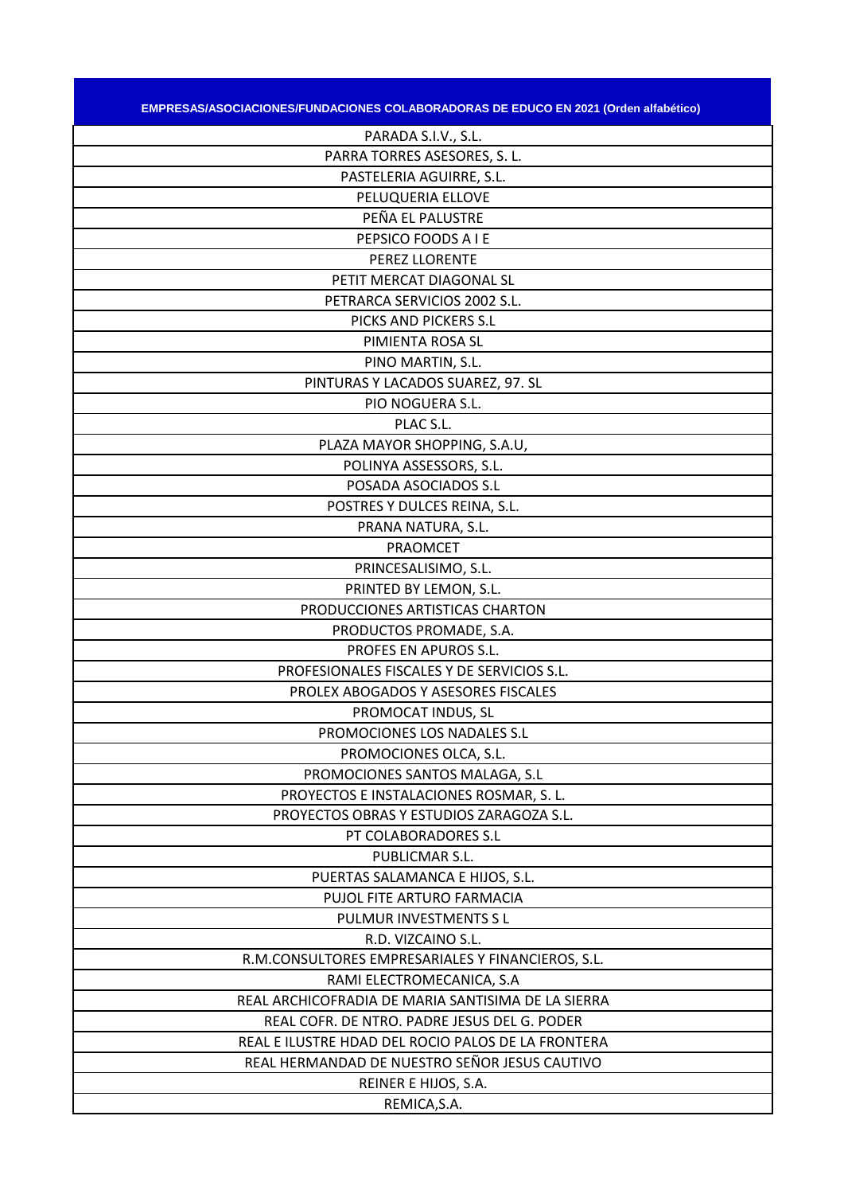| EMPRESAS/ASOCIACIONES/FUNDACIONES COLABORADORAS DE EDUCO EN 2021 (Orden alfabético) |  |
|-------------------------------------------------------------------------------------|--|

| PARADA S.I.V., S.L.                                |
|----------------------------------------------------|
| PARRA TORRES ASESORES, S. L.                       |
| PASTELERIA AGUIRRE, S.L.                           |
| PELUQUERIA ELLOVE                                  |
| PEÑA EL PALUSTRE                                   |
| PEPSICO FOODS A I E                                |
| PEREZ LLORENTE                                     |
| PETIT MERCAT DIAGONAL SL                           |
| PETRARCA SERVICIOS 2002 S.L.                       |
| PICKS AND PICKERS S.L                              |
| PIMIENTA ROSA SL                                   |
| PINO MARTIN, S.L.                                  |
| PINTURAS Y LACADOS SUAREZ, 97. SL                  |
| PIO NOGUERA S.L.                                   |
| PLAC S.L.                                          |
| PLAZA MAYOR SHOPPING, S.A.U,                       |
| POLINYA ASSESSORS, S.L.                            |
| POSADA ASOCIADOS S.L                               |
| POSTRES Y DULCES REINA, S.L.                       |
| PRANA NATURA, S.L.                                 |
| <b>PRAOMCET</b>                                    |
| PRINCESALISIMO, S.L.                               |
| PRINTED BY LEMON, S.L.                             |
| PRODUCCIONES ARTISTICAS CHARTON                    |
| PRODUCTOS PROMADE, S.A.                            |
| PROFES EN APUROS S.L.                              |
| PROFESIONALES FISCALES Y DE SERVICIOS S.L.         |
| PROLEX ABOGADOS Y ASESORES FISCALES                |
| PROMOCAT INDUS, SL                                 |
| PROMOCIONES LOS NADALES S.L                        |
| PROMOCIONES OLCA, S.L.                             |
| PROMOCIONES SANTOS MALAGA, S.L                     |
| PROYECTOS E INSTALACIONES ROSMAR, S. L.            |
| PROYECTOS OBRAS Y ESTUDIOS ZARAGOZA S.L.           |
| PT COLABORADORES S.L                               |
| PUBLICMAR S.L.                                     |
| PUERTAS SALAMANCA E HIJOS, S.L.                    |
| PUJOL FITE ARTURO FARMACIA                         |
| PULMUR INVESTMENTS S L                             |
| R.D. VIZCAINO S.L.                                 |
| R.M.CONSULTORES EMPRESARIALES Y FINANCIEROS, S.L.  |
| RAMI ELECTROMECANICA, S.A                          |
| REAL ARCHICOFRADIA DE MARIA SANTISIMA DE LA SIERRA |
| REAL COFR. DE NTRO. PADRE JESUS DEL G. PODER       |
| REAL E ILUSTRE HDAD DEL ROCIO PALOS DE LA FRONTERA |
| REAL HERMANDAD DE NUESTRO SEÑOR JESUS CAUTIVO      |
| REINER E HIJOS, S.A.                               |
| REMICA, S.A.                                       |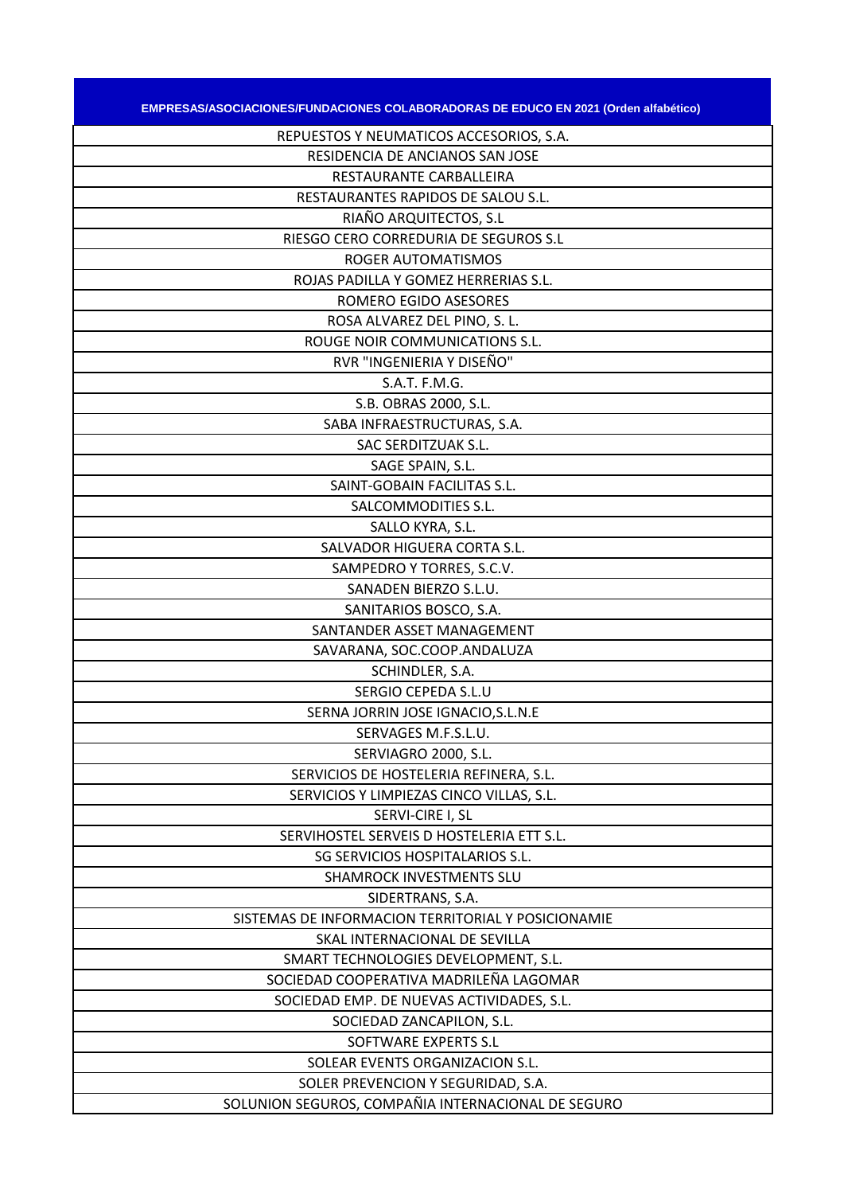| EMPRESAS/ASOCIACIONES/FUNDACIONES COLABORADORAS DE EDUCO EN 2021 (Orden alfabético) |
|-------------------------------------------------------------------------------------|
| REPUESTOS Y NEUMATICOS ACCESORIOS, S.A.                                             |
| RESIDENCIA DE ANCIANOS SAN JOSE                                                     |
| RESTAURANTE CARBALLEIRA                                                             |
| RESTAURANTES RAPIDOS DE SALOU S.L.                                                  |
| RIAÑO ARQUITECTOS, S.L                                                              |
| RIESGO CERO CORREDURIA DE SEGUROS S.L                                               |
| ROGER AUTOMATISMOS                                                                  |
| ROJAS PADILLA Y GOMEZ HERRERIAS S.L.                                                |
| ROMERO EGIDO ASESORES                                                               |
| ROSA ALVAREZ DEL PINO, S. L.                                                        |
| ROUGE NOIR COMMUNICATIONS S.L.                                                      |
| RVR "INGENIERIA Y DISEÑO"                                                           |
| S.A.T. F.M.G.                                                                       |
| S.B. OBRAS 2000, S.L.                                                               |
| SABA INFRAESTRUCTURAS, S.A.                                                         |
| SAC SERDITZUAK S.L.                                                                 |
| SAGE SPAIN, S.L.                                                                    |
| SAINT-GOBAIN FACILITAS S.L.                                                         |
| SALCOMMODITIES S.L.                                                                 |
| SALLO KYRA, S.L.                                                                    |
| SALVADOR HIGUERA CORTA S.L.                                                         |
| SAMPEDRO Y TORRES, S.C.V.                                                           |
| SANADEN BIERZO S.L.U.                                                               |
| SANITARIOS BOSCO, S.A.                                                              |
| SANTANDER ASSET MANAGEMENT                                                          |
| SAVARANA, SOC.COOP.ANDALUZA                                                         |
| SCHINDLER, S.A.                                                                     |
| SERGIO CEPEDA S.L.U                                                                 |
| SERNA JORRIN JOSE IGNACIO, S.L.N.E                                                  |
| SERVAGES M.F.S.L.U.                                                                 |
| SERVIAGRO 2000, S.L.                                                                |
| SERVICIOS DE HOSTELERIA REFINERA, S.L.                                              |
| SERVICIOS Y LIMPIEZAS CINCO VILLAS, S.L.                                            |
| SERVI-CIRE I, SL                                                                    |
| SERVIHOSTEL SERVEIS D HOSTELERIA ETT S.L.                                           |
| SG SERVICIOS HOSPITALARIOS S.L.                                                     |
| SHAMROCK INVESTMENTS SLU                                                            |
| SIDERTRANS, S.A.                                                                    |
| SISTEMAS DE INFORMACION TERRITORIAL Y POSICIONAMIE                                  |
| SKAL INTERNACIONAL DE SEVILLA                                                       |
| SMART TECHNOLOGIES DEVELOPMENT, S.L.                                                |
| SOCIEDAD COOPERATIVA MADRILEÑA LAGOMAR                                              |
| SOCIEDAD EMP. DE NUEVAS ACTIVIDADES, S.L.                                           |
| SOCIEDAD ZANCAPILON, S.L.                                                           |
| SOFTWARE EXPERTS S.L                                                                |
| SOLEAR EVENTS ORGANIZACION S.L.                                                     |
| SOLER PREVENCION Y SEGURIDAD, S.A.                                                  |
| SOLUNION SEGUROS, COMPAÑIA INTERNACIONAL DE SEGURO                                  |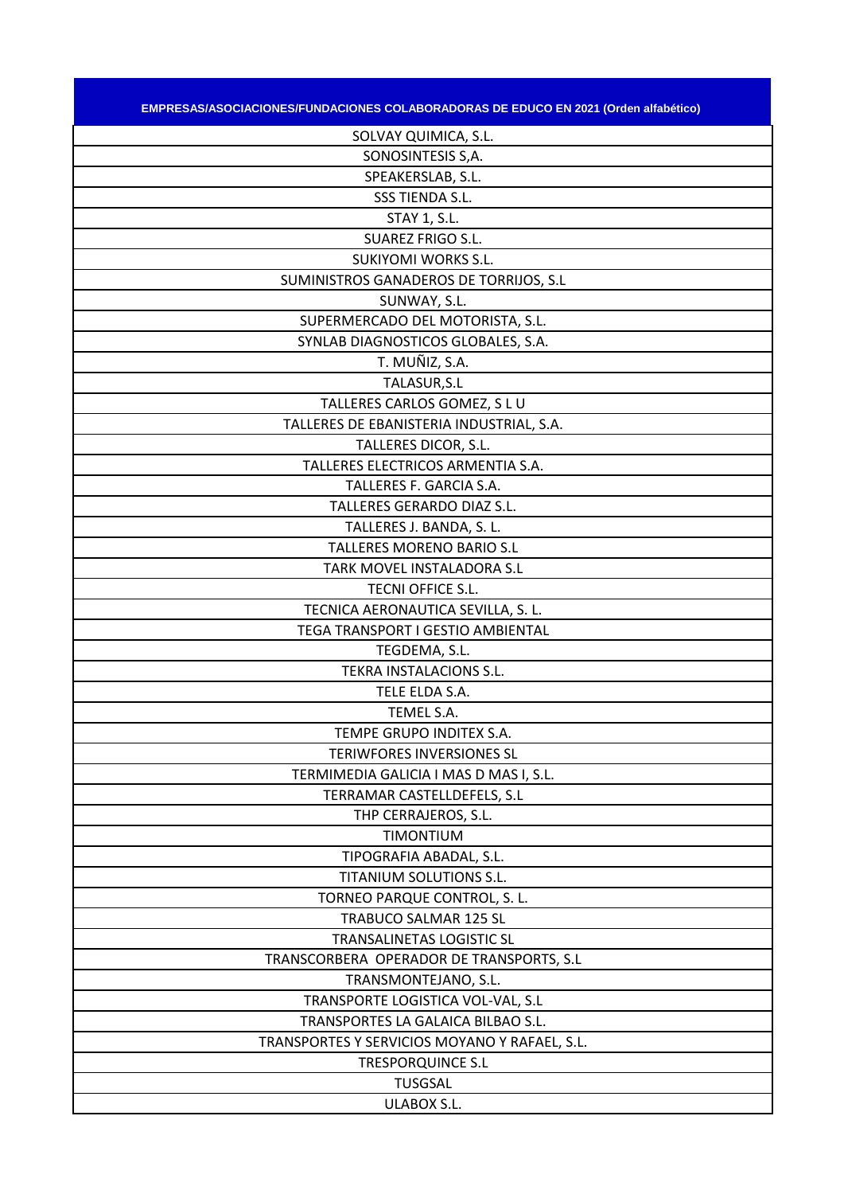| <u> EMPRESAS/ASOCIACIONES/FUNDACIONES COLABORADORAS DE EDUCO EN 2021 (Orden alfabético) </u> |  |
|----------------------------------------------------------------------------------------------|--|

| SOLVAY QUIMICA, S.L.                          |
|-----------------------------------------------|
| SONOSINTESIS S,A.                             |
| SPEAKERSLAB, S.L.                             |
| SSS TIENDA S.L.                               |
| <b>STAY 1, S.L.</b>                           |
| <b>SUAREZ FRIGO S.L.</b>                      |
| <b>SUKIYOMI WORKS S.L.</b>                    |
| SUMINISTROS GANADEROS DE TORRIJOS, S.L        |
| SUNWAY, S.L.                                  |
| SUPERMERCADO DEL MOTORISTA, S.L.              |
| SYNLAB DIAGNOSTICOS GLOBALES, S.A.            |
| T. MUÑIZ, S.A.                                |
| TALASUR, S.L                                  |
| TALLERES CARLOS GOMEZ, S L U                  |
| TALLERES DE EBANISTERIA INDUSTRIAL, S.A.      |
| TALLERES DICOR, S.L.                          |
| TALLERES ELECTRICOS ARMENTIA S.A.             |
| TALLERES F. GARCIA S.A.                       |
| TALLERES GERARDO DIAZ S.L.                    |
| TALLERES J. BANDA, S. L.                      |
| <b>TALLERES MORENO BARIO S.L</b>              |
| TARK MOVEL INSTALADORA S.L                    |
| TECNI OFFICE S.L.                             |
| TECNICA AERONAUTICA SEVILLA, S. L.            |
| TEGA TRANSPORT I GESTIO AMBIENTAL             |
| TEGDEMA, S.L.                                 |
| TEKRA INSTALACIONS S.L.                       |
| TELE ELDA S.A.                                |
| TEMEL S.A.                                    |
| TEMPE GRUPO INDITEX S.A.                      |
| TERIWFORES INVERSIONES SL                     |
| TERMIMEDIA GALICIA I MAS D MAS I, S.L.        |
| TERRAMAR CASTELLDEFELS, S.L                   |
| THP CERRAJEROS, S.L.                          |
| <b>TIMONTIUM</b>                              |
| TIPOGRAFIA ABADAL, S.L.                       |
| TITANIUM SOLUTIONS S.L.                       |
| TORNEO PARQUE CONTROL, S. L.                  |
| TRABUCO SALMAR 125 SL                         |
| TRANSALINETAS LOGISTIC SL                     |
| TRANSCORBERA OPERADOR DE TRANSPORTS, S.L      |
| TRANSMONTEJANO, S.L.                          |
| TRANSPORTE LOGISTICA VOL-VAL, S.L             |
| TRANSPORTES LA GALAICA BILBAO S.L.            |
| TRANSPORTES Y SERVICIOS MOYANO Y RAFAEL, S.L. |
| <b>TRESPORQUINCE S.L</b>                      |
| <b>TUSGSAL</b>                                |
| <b>ULABOX S.L.</b>                            |